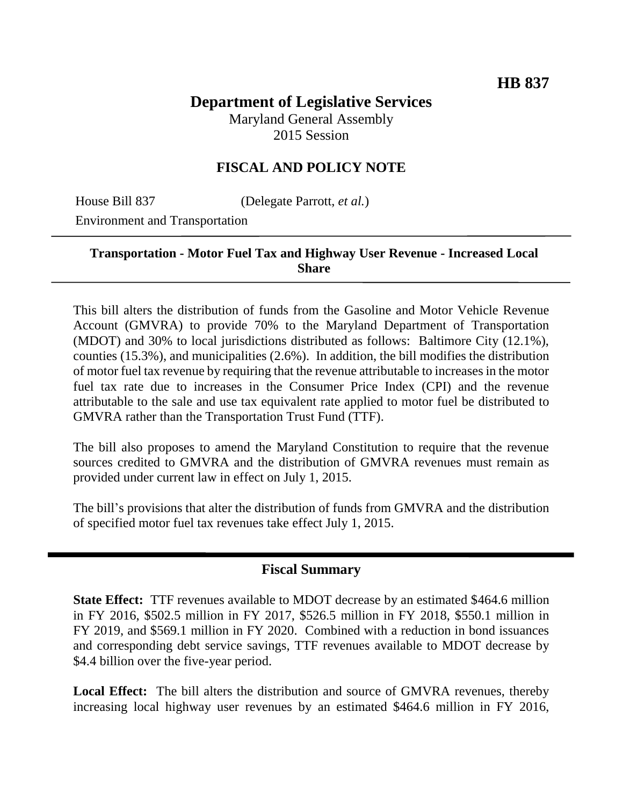# **Department of Legislative Services** Maryland General Assembly

2015 Session

# **FISCAL AND POLICY NOTE**

House Bill 837 (Delegate Parrott, *et al.*)

Environment and Transportation

## **Transportation - Motor Fuel Tax and Highway User Revenue - Increased Local Share**

This bill alters the distribution of funds from the Gasoline and Motor Vehicle Revenue Account (GMVRA) to provide 70% to the Maryland Department of Transportation (MDOT) and 30% to local jurisdictions distributed as follows: Baltimore City (12.1%), counties (15.3%), and municipalities (2.6%). In addition, the bill modifies the distribution of motor fuel tax revenue by requiring that the revenue attributable to increases in the motor fuel tax rate due to increases in the Consumer Price Index (CPI) and the revenue attributable to the sale and use tax equivalent rate applied to motor fuel be distributed to GMVRA rather than the Transportation Trust Fund (TTF).

The bill also proposes to amend the Maryland Constitution to require that the revenue sources credited to GMVRA and the distribution of GMVRA revenues must remain as provided under current law in effect on July 1, 2015.

The bill's provisions that alter the distribution of funds from GMVRA and the distribution of specified motor fuel tax revenues take effect July 1, 2015.

#### **Fiscal Summary**

**State Effect:** TTF revenues available to MDOT decrease by an estimated \$464.6 million in FY 2016, \$502.5 million in FY 2017, \$526.5 million in FY 2018, \$550.1 million in FY 2019, and \$569.1 million in FY 2020. Combined with a reduction in bond issuances and corresponding debt service savings, TTF revenues available to MDOT decrease by \$4.4 billion over the five-year period.

**Local Effect:** The bill alters the distribution and source of GMVRA revenues, thereby increasing local highway user revenues by an estimated \$464.6 million in FY 2016,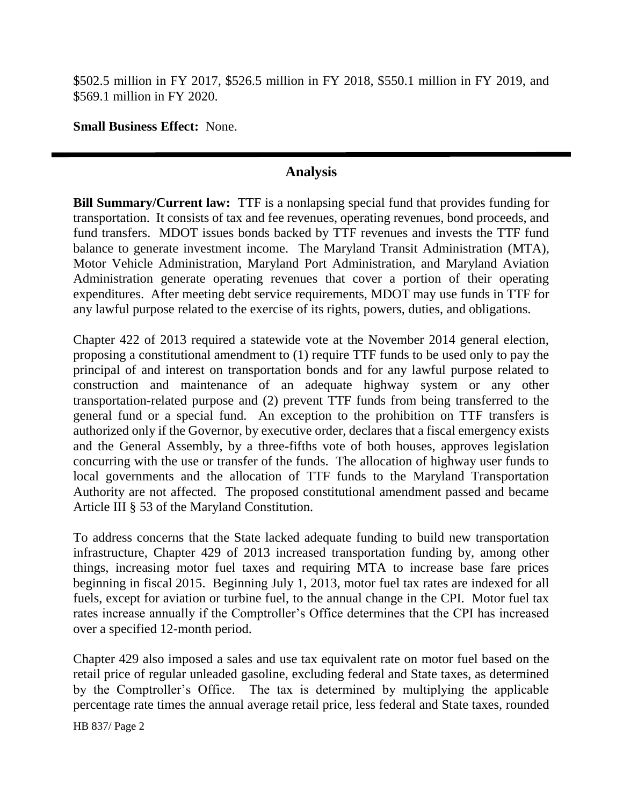\$502.5 million in FY 2017, \$526.5 million in FY 2018, \$550.1 million in FY 2019, and \$569.1 million in FY 2020.

**Small Business Effect:** None.

## **Analysis**

**Bill Summary/Current law:** TTF is a nonlapsing special fund that provides funding for transportation. It consists of tax and fee revenues, operating revenues, bond proceeds, and fund transfers. MDOT issues bonds backed by TTF revenues and invests the TTF fund balance to generate investment income. The Maryland Transit Administration (MTA), Motor Vehicle Administration, Maryland Port Administration, and Maryland Aviation Administration generate operating revenues that cover a portion of their operating expenditures. After meeting debt service requirements, MDOT may use funds in TTF for any lawful purpose related to the exercise of its rights, powers, duties, and obligations.

Chapter 422 of 2013 required a statewide vote at the November 2014 general election, proposing a constitutional amendment to (1) require TTF funds to be used only to pay the principal of and interest on transportation bonds and for any lawful purpose related to construction and maintenance of an adequate highway system or any other transportation-related purpose and (2) prevent TTF funds from being transferred to the general fund or a special fund. An exception to the prohibition on TTF transfers is authorized only if the Governor, by executive order, declares that a fiscal emergency exists and the General Assembly, by a three-fifths vote of both houses, approves legislation concurring with the use or transfer of the funds. The allocation of highway user funds to local governments and the allocation of TTF funds to the Maryland Transportation Authority are not affected. The proposed constitutional amendment passed and became Article III § 53 of the Maryland Constitution.

To address concerns that the State lacked adequate funding to build new transportation infrastructure, Chapter 429 of 2013 increased transportation funding by, among other things, increasing motor fuel taxes and requiring MTA to increase base fare prices beginning in fiscal 2015. Beginning July 1, 2013, motor fuel tax rates are indexed for all fuels, except for aviation or turbine fuel, to the annual change in the CPI. Motor fuel tax rates increase annually if the Comptroller's Office determines that the CPI has increased over a specified 12-month period.

Chapter 429 also imposed a sales and use tax equivalent rate on motor fuel based on the retail price of regular unleaded gasoline, excluding federal and State taxes, as determined by the Comptroller's Office. The tax is determined by multiplying the applicable percentage rate times the annual average retail price, less federal and State taxes, rounded

HB 837/ Page 2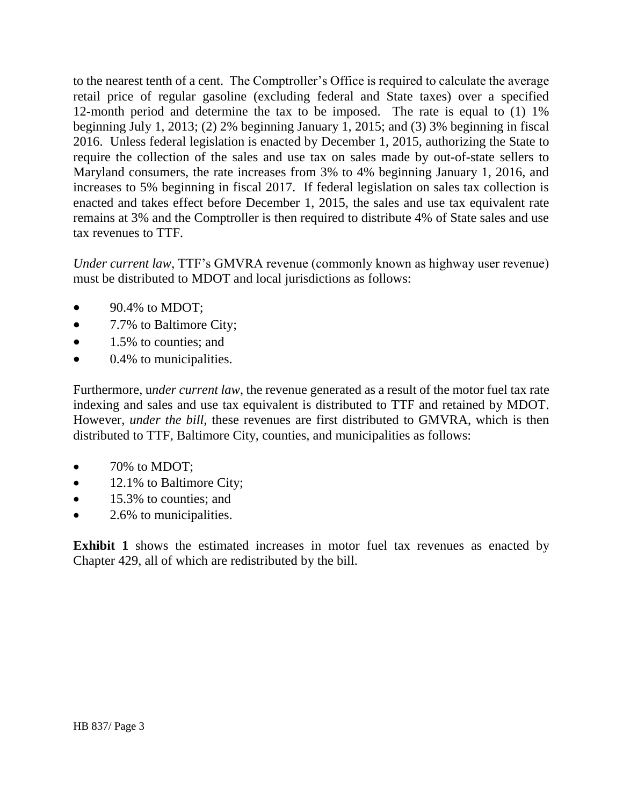to the nearest tenth of a cent. The Comptroller's Office is required to calculate the average retail price of regular gasoline (excluding federal and State taxes) over a specified 12-month period and determine the tax to be imposed. The rate is equal to (1) 1% beginning July 1, 2013; (2) 2% beginning January 1, 2015; and (3) 3% beginning in fiscal 2016. Unless federal legislation is enacted by December 1, 2015, authorizing the State to require the collection of the sales and use tax on sales made by out-of-state sellers to Maryland consumers, the rate increases from 3% to 4% beginning January 1, 2016, and increases to 5% beginning in fiscal 2017. If federal legislation on sales tax collection is enacted and takes effect before December 1, 2015, the sales and use tax equivalent rate remains at 3% and the Comptroller is then required to distribute 4% of State sales and use tax revenues to TTF.

*Under current law*, TTF's GMVRA revenue (commonly known as highway user revenue) must be distributed to MDOT and local jurisdictions as follows:

- $\bullet$  90.4% to MDOT;
- 7.7% to Baltimore City;
- 1.5% to counties; and
- $\bullet$  0.4% to municipalities.

Furthermore, u*nder current law*, the revenue generated as a result of the motor fuel tax rate indexing and sales and use tax equivalent is distributed to TTF and retained by MDOT. However, *under the bill,* these revenues are first distributed to GMVRA, which is then distributed to TTF, Baltimore City, counties, and municipalities as follows:

- 70% to MDOT;
- 12.1% to Baltimore City;
- 15.3% to counties; and
- 2.6% to municipalities.

**Exhibit 1** shows the estimated increases in motor fuel tax revenues as enacted by Chapter 429, all of which are redistributed by the bill.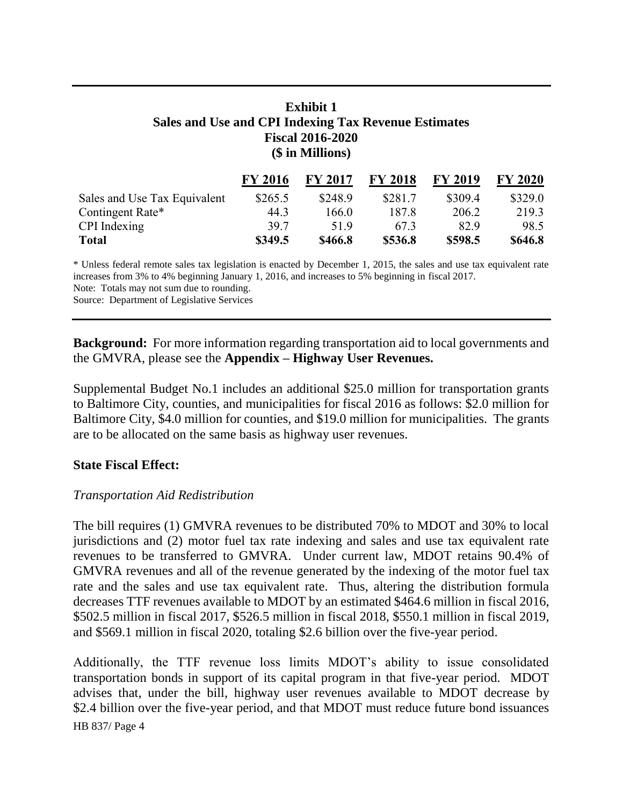## **Exhibit 1 Sales and Use and CPI Indexing Tax Revenue Estimates Fiscal 2016-2020 (\$ in Millions)**

|                              | <b>FY 2016</b> | <b>FY 2017</b> | <b>FY 2018</b> | <b>FY 2019</b> | <b>FY 2020</b> |
|------------------------------|----------------|----------------|----------------|----------------|----------------|
| Sales and Use Tax Equivalent | \$265.5        | \$248.9        | \$281.7        | \$309.4        | \$329.0        |
| Contingent Rate*             | 44.3           | 166 0          | 187.8          | 206.2          | 219.3          |
| CPI Indexing                 | 397            | 519            | 673            | 829            | 98.5           |
| <b>Total</b>                 | \$349.5        | \$466.8        | \$536.8        | \$598.5        | \$646.8        |

\* Unless federal remote sales tax legislation is enacted by December 1, 2015, the sales and use tax equivalent rate increases from 3% to 4% beginning January 1, 2016, and increases to 5% beginning in fiscal 2017. Note: Totals may not sum due to rounding.

Source: Department of Legislative Services

**Background:** For more information regarding transportation aid to local governments and the GMVRA, please see the **Appendix – Highway User Revenues.**

Supplemental Budget No.1 includes an additional \$25.0 million for transportation grants to Baltimore City, counties, and municipalities for fiscal 2016 as follows: \$2.0 million for Baltimore City, \$4.0 million for counties, and \$19.0 million for municipalities. The grants are to be allocated on the same basis as highway user revenues.

#### **State Fiscal Effect:**

#### *Transportation Aid Redistribution*

The bill requires (1) GMVRA revenues to be distributed 70% to MDOT and 30% to local jurisdictions and (2) motor fuel tax rate indexing and sales and use tax equivalent rate revenues to be transferred to GMVRA. Under current law, MDOT retains 90.4% of GMVRA revenues and all of the revenue generated by the indexing of the motor fuel tax rate and the sales and use tax equivalent rate. Thus, altering the distribution formula decreases TTF revenues available to MDOT by an estimated \$464.6 million in fiscal 2016, \$502.5 million in fiscal 2017, \$526.5 million in fiscal 2018, \$550.1 million in fiscal 2019, and \$569.1 million in fiscal 2020, totaling \$2.6 billion over the five-year period.

HB 837/ Page 4 Additionally, the TTF revenue loss limits MDOT's ability to issue consolidated transportation bonds in support of its capital program in that five-year period. MDOT advises that, under the bill, highway user revenues available to MDOT decrease by \$2.4 billion over the five-year period, and that MDOT must reduce future bond issuances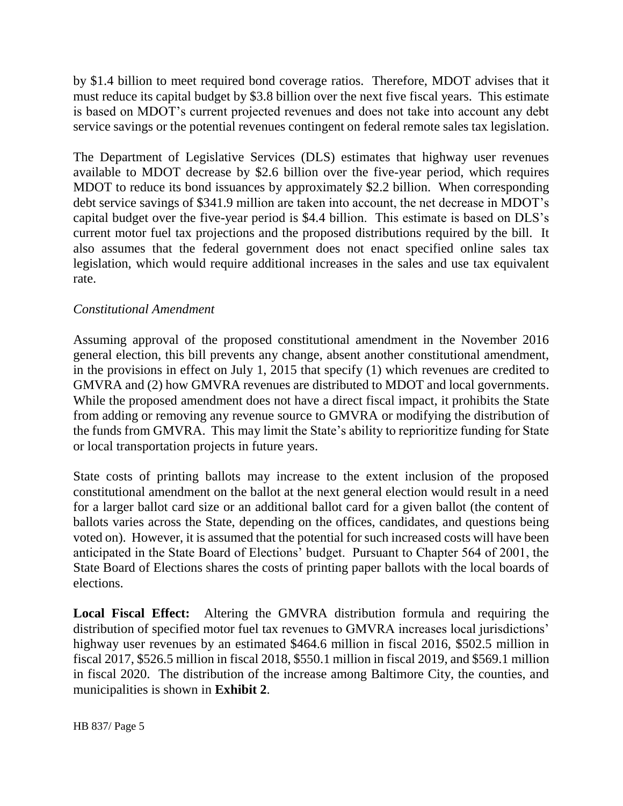by \$1.4 billion to meet required bond coverage ratios. Therefore, MDOT advises that it must reduce its capital budget by \$3.8 billion over the next five fiscal years. This estimate is based on MDOT's current projected revenues and does not take into account any debt service savings or the potential revenues contingent on federal remote sales tax legislation.

The Department of Legislative Services (DLS) estimates that highway user revenues available to MDOT decrease by \$2.6 billion over the five-year period, which requires MDOT to reduce its bond issuances by approximately \$2.2 billion. When corresponding debt service savings of \$341.9 million are taken into account, the net decrease in MDOT's capital budget over the five-year period is \$4.4 billion. This estimate is based on DLS's current motor fuel tax projections and the proposed distributions required by the bill. It also assumes that the federal government does not enact specified online sales tax legislation, which would require additional increases in the sales and use tax equivalent rate.

#### *Constitutional Amendment*

Assuming approval of the proposed constitutional amendment in the November 2016 general election, this bill prevents any change, absent another constitutional amendment, in the provisions in effect on July 1, 2015 that specify (1) which revenues are credited to GMVRA and (2) how GMVRA revenues are distributed to MDOT and local governments. While the proposed amendment does not have a direct fiscal impact, it prohibits the State from adding or removing any revenue source to GMVRA or modifying the distribution of the funds from GMVRA. This may limit the State's ability to reprioritize funding for State or local transportation projects in future years.

State costs of printing ballots may increase to the extent inclusion of the proposed constitutional amendment on the ballot at the next general election would result in a need for a larger ballot card size or an additional ballot card for a given ballot (the content of ballots varies across the State, depending on the offices, candidates, and questions being voted on). However, it is assumed that the potential for such increased costs will have been anticipated in the State Board of Elections' budget. Pursuant to Chapter 564 of 2001, the State Board of Elections shares the costs of printing paper ballots with the local boards of elections.

**Local Fiscal Effect:** Altering the GMVRA distribution formula and requiring the distribution of specified motor fuel tax revenues to GMVRA increases local jurisdictions' highway user revenues by an estimated \$464.6 million in fiscal 2016, \$502.5 million in fiscal 2017, \$526.5 million in fiscal 2018, \$550.1 million in fiscal 2019, and \$569.1 million in fiscal 2020. The distribution of the increase among Baltimore City, the counties, and municipalities is shown in **Exhibit 2**.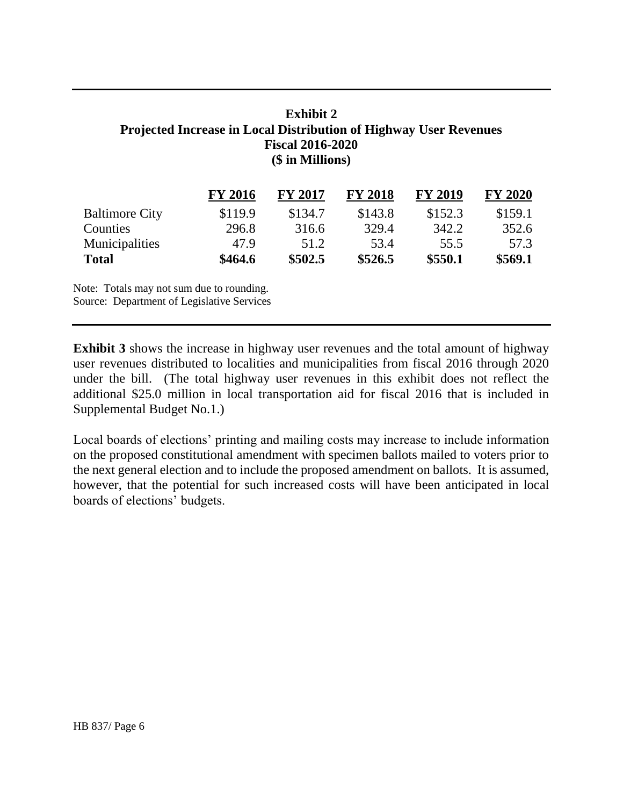## **Exhibit 2 Projected Increase in Local Distribution of Highway User Revenues Fiscal 2016-2020 (\$ in Millions)**

|                       | <b>FY 2016</b> | <b>FY 2017</b> | <b>FY 2018</b> | <b>FY 2019</b> | <b>FY 2020</b> |
|-----------------------|----------------|----------------|----------------|----------------|----------------|
| <b>Baltimore City</b> | \$119.9        | \$134.7        | \$143.8        | \$152.3        | \$159.1        |
| Counties              | 296.8          | 316.6          | 329.4          | 342.2          | 352.6          |
| Municipalities        | 47.9           | 51.2           | 53.4           | 55.5           | 57.3           |
| <b>Total</b>          | \$464.6        | \$502.5        | \$526.5        | \$550.1        | \$569.1        |

Note: Totals may not sum due to rounding. Source: Department of Legislative Services

**Exhibit 3** shows the increase in highway user revenues and the total amount of highway user revenues distributed to localities and municipalities from fiscal 2016 through 2020 under the bill. (The total highway user revenues in this exhibit does not reflect the additional \$25.0 million in local transportation aid for fiscal 2016 that is included in Supplemental Budget No.1.)

Local boards of elections' printing and mailing costs may increase to include information on the proposed constitutional amendment with specimen ballots mailed to voters prior to the next general election and to include the proposed amendment on ballots. It is assumed, however, that the potential for such increased costs will have been anticipated in local boards of elections' budgets.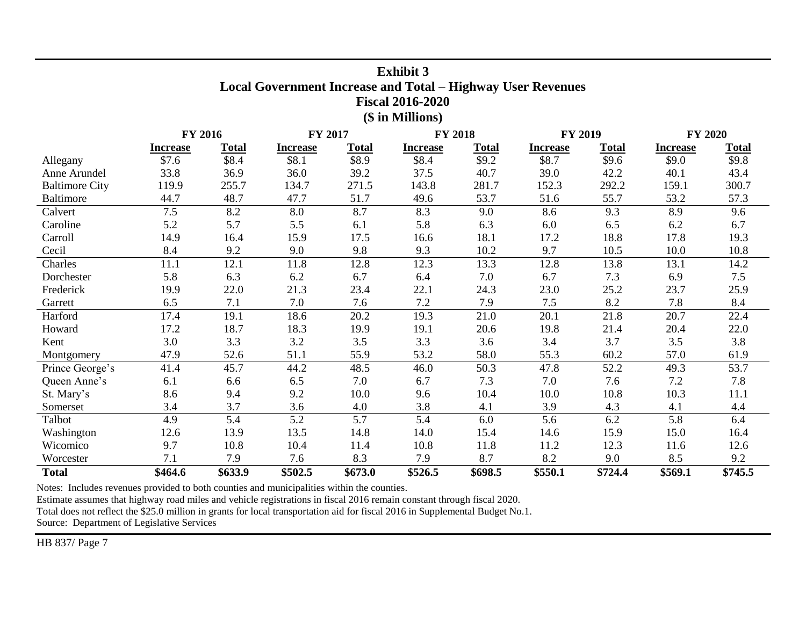| <b>Exhibit 3</b><br><b>Local Government Increase and Total - Highway User Revenues</b><br><b>Fiscal 2016-2020</b> |                 |              |                 |              |                     |              |                 |              |                 |              |
|-------------------------------------------------------------------------------------------------------------------|-----------------|--------------|-----------------|--------------|---------------------|--------------|-----------------|--------------|-----------------|--------------|
| (\$ in Millions)                                                                                                  |                 |              |                 |              |                     |              |                 |              |                 |              |
| <b>FY 2016</b><br><b>FY 2019</b><br><b>FY 2020</b><br>FY 2017<br><b>FY 2018</b>                                   |                 |              |                 |              |                     |              |                 |              |                 |              |
|                                                                                                                   | <b>Increase</b> | <b>Total</b> | <b>Increase</b> | <b>Total</b> | <b>Increase</b>     | <b>Total</b> | <b>Increase</b> | <b>Total</b> | <b>Increase</b> | <b>Total</b> |
| Allegany                                                                                                          | \$7.6           | \$8.4        | \$8.1           | \$8.9        | \$8.4               | \$9.2        | \$8.7           | \$9.6        | \$9.0           | \$9.8        |
| Anne Arundel                                                                                                      | 33.8            | 36.9         | 36.0            | 39.2         | 37.5                | 40.7         | 39.0            | 42.2         | 40.1            | 43.4         |
| <b>Baltimore City</b>                                                                                             | 119.9           | 255.7        | 134.7           | 271.5        | 143.8               | 281.7        | 152.3           | 292.2        | 159.1           | 300.7        |
| <b>Baltimore</b>                                                                                                  | 44.7            | 48.7         | 47.7            | 51.7         | 49.6                | 53.7         | 51.6            | 55.7         | 53.2            | 57.3         |
| Calvert                                                                                                           | 7.5             | 8.2          | 8.0             | 8.7          | 8.3                 | 9.0          | 8.6             | 9.3          | 8.9             | 9.6          |
| Caroline                                                                                                          | 5.2             | 5.7          | 5.5             | 6.1          | 5.8                 | 6.3          | 6.0             | 6.5          | 6.2             | 6.7          |
| Carroll                                                                                                           | 14.9            | 16.4         | 15.9            | 17.5         | 16.6                | 18.1         | 17.2            | 18.8         | 17.8            | 19.3         |
| Cecil                                                                                                             | 8.4             | 9.2          | 9.0             | 9.8          | 9.3                 | 10.2         | 9.7             | 10.5         | 10.0            | 10.8         |
| Charles                                                                                                           | 11.1            | 12.1         | 11.8            | 12.8         | 12.3                | 13.3         | 12.8            | 13.8         | 13.1            | 14.2         |
| Dorchester                                                                                                        | 5.8             | 6.3          | 6.2             | 6.7          | 6.4                 | 7.0          | 6.7             | 7.3          | 6.9             | 7.5          |
| Frederick                                                                                                         | 19.9            | 22.0         | 21.3            | 23.4         | 22.1                | 24.3         | 23.0            | 25.2         | 23.7            | 25.9         |
| Garrett                                                                                                           | 6.5             | 7.1          | 7.0             | 7.6          | 7.2                 | 7.9          | 7.5             | 8.2          | 7.8             | 8.4          |
| Harford                                                                                                           | 17.4            | 19.1         | 18.6            | 20.2         | 19.3                | 21.0         | 20.1            | 21.8         | 20.7            | 22.4         |
| Howard                                                                                                            | 17.2            | 18.7         | 18.3            | 19.9         | 19.1                | 20.6         | 19.8            | 21.4         | 20.4            | 22.0         |
| Kent                                                                                                              | 3.0             | 3.3          | 3.2             | 3.5          | 3.3                 | 3.6          | 3.4             | 3.7          | 3.5             | 3.8          |
| Montgomery                                                                                                        | 47.9            | 52.6         | 51.1            | 55.9         | 53.2                | 58.0         | 55.3            | 60.2         | 57.0            | 61.9         |
| Prince George's                                                                                                   | 41.4            | 45.7         | 44.2            | 48.5         | 46.0                | 50.3         | 47.8            | 52.2         | 49.3            | 53.7         |
| Queen Anne's                                                                                                      | 6.1             | 6.6          | 6.5             | 7.0          | 6.7                 | 7.3          | 7.0             | 7.6          | 7.2             | 7.8          |
| St. Mary's                                                                                                        | 8.6             | 9.4          | 9.2             | 10.0         | 9.6                 | 10.4         | 10.0            | 10.8         | 10.3            | 11.1         |
| Somerset                                                                                                          | 3.4             | 3.7          | 3.6             | 4.0          | 3.8                 | 4.1          | 3.9             | 4.3          | 4.1             | 4.4          |
| Talbot                                                                                                            | 4.9             | 5.4          | 5.2             | 5.7          | 5.4                 | 6.0          | 5.6             | 6.2          | 5.8             | 6.4          |
| Washington                                                                                                        | 12.6            | 13.9         | 13.5            | 14.8         | 14.0                | 15.4         | 14.6            | 15.9         | 15.0            | 16.4         |
| Wicomico                                                                                                          | 9.7             | 10.8         | 10.4            | 11.4         | 10.8                | 11.8         | 11.2            | 12.3         | 11.6            | 12.6         |
| Worcester                                                                                                         | 7.1             | 7.9          | 7.6             | 8.3          | 7.9                 | 8.7          | 8.2             | 9.0          | 8.5             | 9.2          |
| <b>Total</b>                                                                                                      | \$464.6         | \$633.9      | \$502.5         | \$673.0      | $\overline{$}526.5$ | \$698.5      | \$550.1         | \$724.4      | \$569.1         | \$745.5      |

Notes: Includes revenues provided to both counties and municipalities within the counties.

Estimate assumes that highway road miles and vehicle registrations in fiscal 2016 remain constant through fiscal 2020.

Total does not reflect the \$25.0 million in grants for local transportation aid for fiscal 2016 in Supplemental Budget No.1.

Source: Department of Legislative Services

HB 837/ Page 7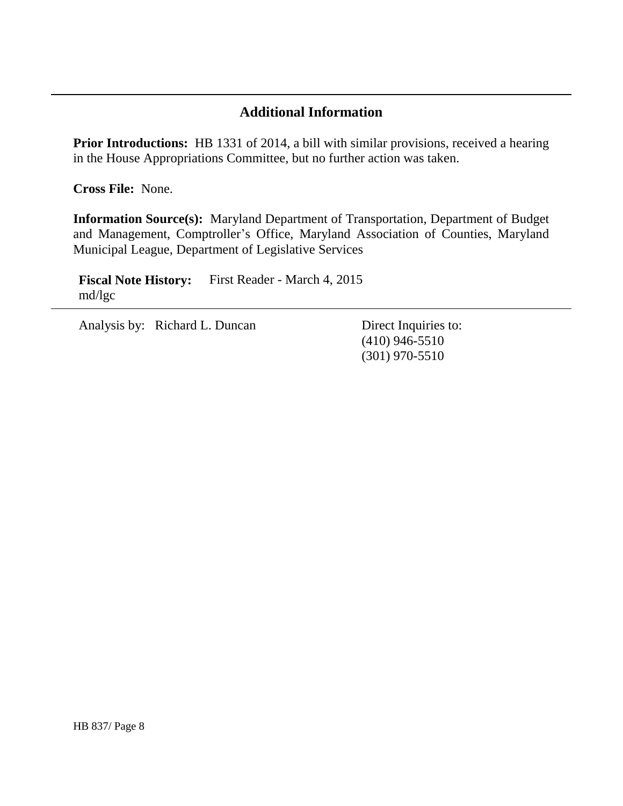## **Additional Information**

Prior Introductions: HB 1331 of 2014, a bill with similar provisions, received a hearing in the House Appropriations Committee, but no further action was taken.

**Cross File:** None.

**Information Source(s):** Maryland Department of Transportation, Department of Budget and Management, Comptroller's Office, Maryland Association of Counties, Maryland Municipal League, Department of Legislative Services

**Fiscal Note History:** First Reader - March 4, 2015 md/lgc

Analysis by: Richard L. Duncan Direct Inquiries to:

(410) 946-5510 (301) 970-5510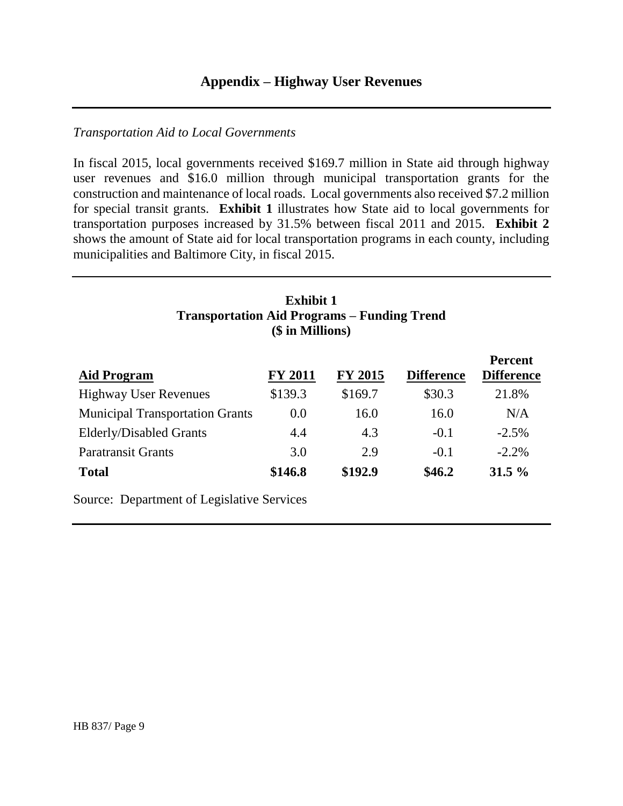#### *Transportation Aid to Local Governments*

In fiscal 2015, local governments received \$169.7 million in State aid through highway user revenues and \$16.0 million through municipal transportation grants for the construction and maintenance of local roads. Local governments also received \$7.2 million for special transit grants. **Exhibit 1** illustrates how State aid to local governments for transportation purposes increased by 31.5% between fiscal 2011 and 2015. **Exhibit 2** shows the amount of State aid for local transportation programs in each county, including municipalities and Baltimore City, in fiscal 2015.

| <b>Exhibit 1</b><br><b>Transportation Aid Programs – Funding Trend</b><br>(\$ in Millions) |                |                |                   |                                     |  |  |  |  |
|--------------------------------------------------------------------------------------------|----------------|----------------|-------------------|-------------------------------------|--|--|--|--|
| <b>Aid Program</b>                                                                         | <b>FY 2011</b> | <b>FY 2015</b> | <b>Difference</b> | <b>Percent</b><br><b>Difference</b> |  |  |  |  |
| <b>Highway User Revenues</b>                                                               | \$139.3        | \$169.7        | \$30.3            | 21.8%                               |  |  |  |  |
| <b>Municipal Transportation Grants</b>                                                     | 0.0            | 16.0           | 16.0              | N/A                                 |  |  |  |  |
| <b>Elderly/Disabled Grants</b>                                                             | 4.4            | 4.3            | $-0.1$            | $-2.5\%$                            |  |  |  |  |
| <b>Paratransit Grants</b>                                                                  | 3.0            | 2.9            | $-0.1$            | $-2.2\%$                            |  |  |  |  |
| <b>Total</b>                                                                               | \$146.8        | \$192.9        | \$46.2            | $31.5\%$                            |  |  |  |  |
| <b>Source: Department of Legislative Services</b>                                          |                |                |                   |                                     |  |  |  |  |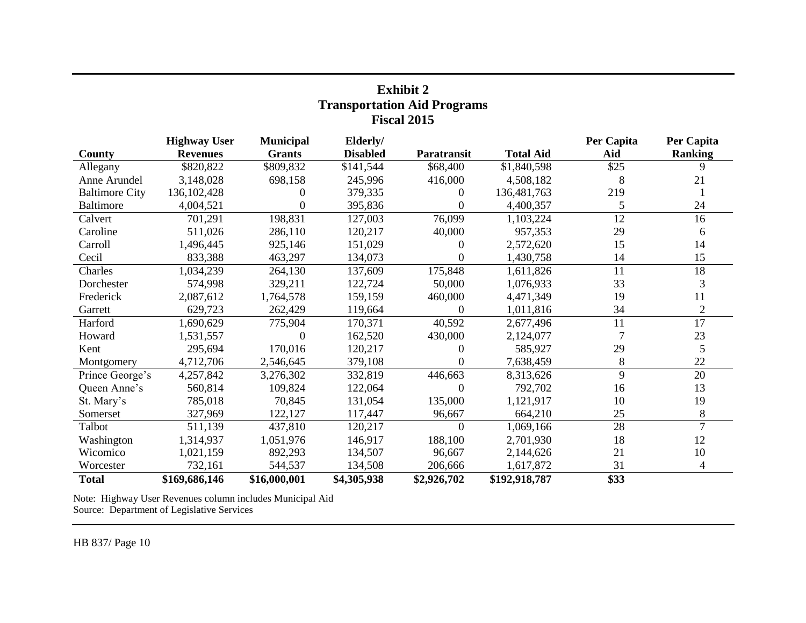| <b>Transportation Aid Programs</b><br><b>Fiscal 2015</b> |                                        |                                   |                             |                |                  |                   |                              |  |  |
|----------------------------------------------------------|----------------------------------------|-----------------------------------|-----------------------------|----------------|------------------|-------------------|------------------------------|--|--|
| County                                                   | <b>Highway User</b><br><b>Revenues</b> | <b>Municipal</b><br><b>Grants</b> | Elderly/<br><b>Disabled</b> | Paratransit    | <b>Total Aid</b> | Per Capita<br>Aid | Per Capita<br><b>Ranking</b> |  |  |
| Allegany                                                 | \$820,822                              | \$809,832                         | \$141,544                   | \$68,400       | \$1,840,598      | \$25              | 9                            |  |  |
| Anne Arundel                                             | 3,148,028                              | 698,158                           | 245,996                     | 416,000        | 4,508,182        | 8                 | 21                           |  |  |
| <b>Baltimore City</b>                                    | 136, 102, 428                          | 0                                 | 379,335                     | $\theta$       | 136,481,763      | 219               |                              |  |  |
| <b>Baltimore</b>                                         | 4,004,521                              | 0                                 | 395,836                     | $\Omega$       | 4,400,357        | 5                 | 24                           |  |  |
| Calvert                                                  | 701,291                                | 198,831                           | 127,003                     | 76,099         | 1,103,224        | 12                | 16                           |  |  |
| Caroline                                                 | 511,026                                | 286,110                           | 120,217                     | 40,000         | 957,353          | 29                | 6                            |  |  |
| Carroll                                                  | 1,496,445                              | 925,146                           | 151,029                     | $\Omega$       | 2,572,620        | 15                | 14                           |  |  |
| Cecil                                                    | 833,388                                | 463,297                           | 134,073                     | 0              | 1,430,758        | 14                | 15                           |  |  |
| Charles                                                  | 1,034,239                              | 264,130                           | 137,609                     | 175,848        | 1,611,826        | 11                | 18                           |  |  |
| Dorchester                                               | 574,998                                | 329,211                           | 122,724                     | 50,000         | 1,076,933        | 33                | 3                            |  |  |
| Frederick                                                | 2,087,612                              | 1,764,578                         | 159,159                     | 460,000        | 4,471,349        | 19                | 11                           |  |  |
| Garrett                                                  | 629,723                                | 262,429                           | 119,664                     | 0              | 1,011,816        | 34                | $\overline{2}$               |  |  |
| Harford                                                  | 1,690,629                              | 775,904                           | 170,371                     | 40,592         | 2,677,496        | 11                | 17                           |  |  |
| Howard                                                   | 1,531,557                              | $\Omega$                          | 162,520                     | 430,000        | 2,124,077        | 7                 | 23                           |  |  |
| Kent                                                     | 295,694                                | 170,016                           | 120,217                     | 0              | 585,927          | 29                | 5                            |  |  |
| Montgomery                                               | 4,712,706                              | 2,546,645                         | 379,108                     | 0              | 7,638,459        | 8                 | 22                           |  |  |
| Prince George's                                          | 4,257,842                              | 3,276,302                         | 332,819                     | 446,663        | 8,313,626        | 9                 | 20                           |  |  |
| Queen Anne's                                             | 560,814                                | 109,824                           | 122,064                     | $\Omega$       | 792,702          | 16                | 13                           |  |  |
| St. Mary's                                               | 785,018                                | 70,845                            | 131,054                     | 135,000        | 1,121,917        | 10                | 19                           |  |  |
| Somerset                                                 | 327,969                                | 122,127                           | 117,447                     | 96,667         | 664,210          | 25                | 8                            |  |  |
| Talbot                                                   | 511,139                                | 437,810                           | 120,217                     | $\overline{0}$ | 1,069,166        | 28                | $\overline{7}$               |  |  |
| Washington                                               | 1,314,937                              | 1,051,976                         | 146,917                     | 188,100        | 2,701,930        | 18                | 12                           |  |  |
| Wicomico                                                 | 1,021,159                              | 892,293                           | 134,507                     | 96,667         | 2,144,626        | 21                | 10                           |  |  |
| Worcester                                                | 732,161                                | 544,537                           | 134,508                     | 206,666        | 1,617,872        | 31                | 4                            |  |  |
| <b>Total</b>                                             | \$169,686,146                          | \$16,000,001                      | \$4,305,938                 | \$2,926,702    | \$192,918,787    | \$33              |                              |  |  |

**Exhibit 2**

Note: Highway User Revenues column includes Municipal Aid Source: Department of Legislative Services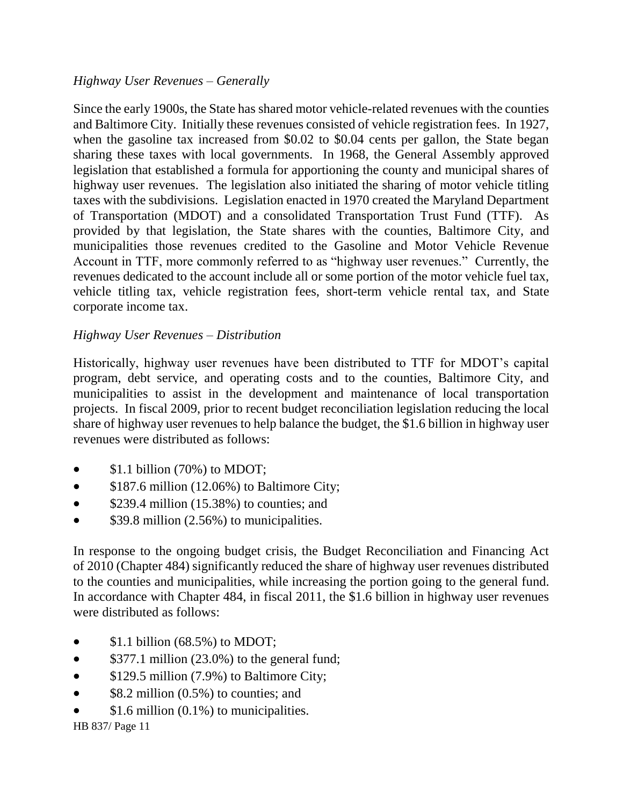## *Highway User Revenues – Generally*

Since the early 1900s, the State has shared motor vehicle-related revenues with the counties and Baltimore City. Initially these revenues consisted of vehicle registration fees. In 1927, when the gasoline tax increased from \$0.02 to \$0.04 cents per gallon, the State began sharing these taxes with local governments. In 1968, the General Assembly approved legislation that established a formula for apportioning the county and municipal shares of highway user revenues. The legislation also initiated the sharing of motor vehicle titling taxes with the subdivisions. Legislation enacted in 1970 created the Maryland Department of Transportation (MDOT) and a consolidated Transportation Trust Fund (TTF). As provided by that legislation, the State shares with the counties, Baltimore City, and municipalities those revenues credited to the Gasoline and Motor Vehicle Revenue Account in TTF, more commonly referred to as "highway user revenues." Currently, the revenues dedicated to the account include all or some portion of the motor vehicle fuel tax, vehicle titling tax, vehicle registration fees, short-term vehicle rental tax, and State corporate income tax.

## *Highway User Revenues – Distribution*

Historically, highway user revenues have been distributed to TTF for MDOT's capital program, debt service, and operating costs and to the counties, Baltimore City, and municipalities to assist in the development and maintenance of local transportation projects. In fiscal 2009, prior to recent budget reconciliation legislation reducing the local share of highway user revenues to help balance the budget, the \$1.6 billion in highway user revenues were distributed as follows:

- $\bullet$  \$1.1 billion (70%) to MDOT;
- $$187.6$  million (12.06%) to Baltimore City;
- $\bullet$  \$239.4 million (15.38%) to counties; and
- $\bullet$  \$39.8 million (2.56%) to municipalities.

In response to the ongoing budget crisis, the Budget Reconciliation and Financing Act of 2010 (Chapter 484) significantly reduced the share of highway user revenues distributed to the counties and municipalities, while increasing the portion going to the general fund. In accordance with Chapter 484, in fiscal 2011, the \$1.6 billion in highway user revenues were distributed as follows:

- $\bullet$  \$1.1 billion (68.5%) to MDOT;
- $\bullet$  \$377.1 million (23.0%) to the general fund;
- $$129.5$  million (7.9%) to Baltimore City;
- $\bullet$  \$8.2 million (0.5%) to counties; and
- \$1.6 million (0.1%) to municipalities.

HB 837/ Page 11